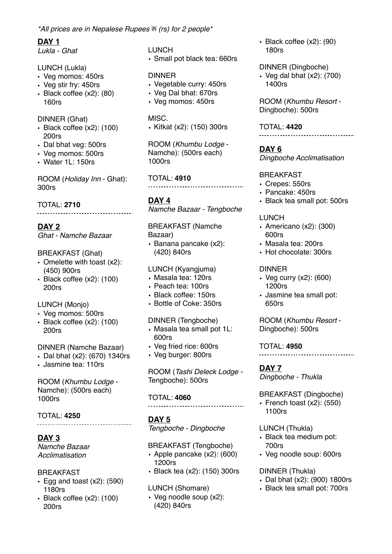# **DAY 1**

*Lukla - Ghat*

#### LUNCH (Lukla)

- Veg momos: 450rs
- Veg stir fry: 450rs
- Black coffee (x2): (80) 160rs

#### DINNER (Ghat)

- Black coffee (x2): (100) 200rs
- Dal bhat veg: 500rs
- Veg momos: 500rs
- Water 1L: 150rs

ROOM (*Holiday Inn* - Ghat): 300rs

#### TOTAL: **2710**

## **DAY 2**

*Ghat - Namche Bazaar*

#### BREAKFAST (Ghat)

- Omelette with toast (x2): (450) 900rs
- Black coffee (x2): (100) 200rs

#### LUNCH (Monjo)

- Veg momos: 500rs
- Black coffee (x2): (100) 200rs

### DINNER (Namche Bazaar)

- Dal bhat (x2): (670) 1340rs
- Jasmine tea: 110rs

ROOM (*Khumbu Lodge* - Namche): (500rs each) 1000rs

### TOTAL: **4250**

....................................

### **DAY 3**

*Namche Bazaar Acclimatisation*

#### BREAKFAST

- Egg and toast  $(x2)$ : (590) 1180rs
- Black coffee (x2): (100) 200rs

LUNCH • Small pot black tea: 660rs

#### DINNER

- Vegetable curry: 450rs
- Veg Dal bhat: 670rs
- Veg momos: 450rs

#### MISC.

• Kitkat (x2): (150) 300rs

ROOM (*Khumbu Lodge* - Namche): (500rs each) 1000rs

TOTAL: **4910**

#### **DAY 4**

*Namche Bazaar - Tengboche*

#### BREAKFAST (Namche Bazaar)

• Banana pancake (x2): (420) 840rs

#### LUNCH (Kyangjuma)

- Masala tea: 120rs
- Peach tea: 100rs
- Black coffee: 150rs
- Bottle of Coke: 350rs

#### DINNER (Tengboche)

- Masala tea small pot 1L: 600rs
- Veg fried rice: 600rs
- Veg burger: 800rs

ROOM (*Tashi Deleck Lodge -* Tengboche): 500rs

#### TOTAL: **4060**

# **DAY 5**

*Tengboche - Dingboche*

#### BREAKFAST (Tengboche)

- Apple pancake (x2): (600) 1200rs
- Black tea (x2): (150) 300rs

#### LUNCH (Shomare)

• Veg noodle soup (x2): (420) 840rs

• Black coffee (x2): (90) 180rs

#### DINNER (Dingboche)

• Veg dal bhat (x2): (700) 1400rs

ROOM (*Khumbu Resort* - Dingboche): 500rs

TOTAL: **4420**

**DAY 6** *Dingboche Acclimatisation*

#### BREAKFAST

- Crepes: 550rs
- Pancake: 450rs
- Black tea small pot: 500rs

#### LUNCH

- Americano (x2): (300) 600rs
- Masala tea: 200rs
- Hot chocolate: 300rs

#### DINNER

- Veg curry (x2): (600) 1200rs
- Jasmine tea small pot: 650rs

ROOM (*Khumbu Resort* - Dingboche): 500rs

TOTAL: **4950**

.....................................

**DAY 7** *Dingboche - Thukla*

BREAKFAST (Dingboche)

• French toast  $(x2)$ :  $(550)$ 1100rs

#### LUNCH (Thukla)

- Black tea medium pot: 700rs
- Veg noodle soup: 600rs

#### DINNER (Thukla)

- Dal bhat (x2): (900) 1800rs
- Black tea small pot: 700rs